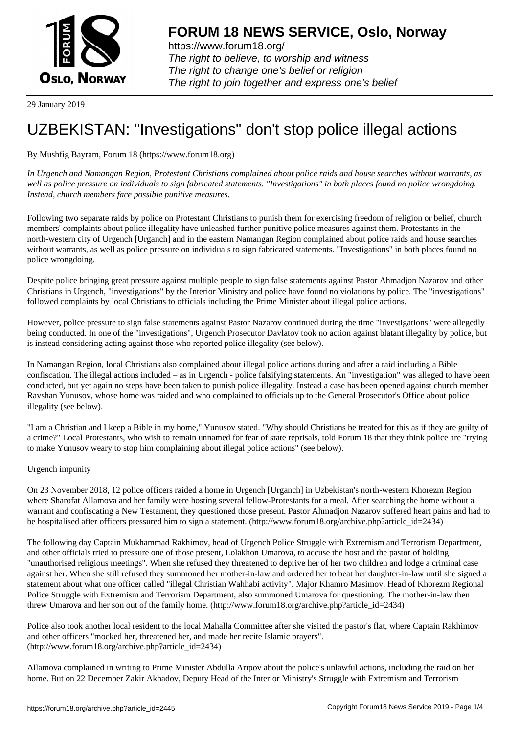

https://www.forum18.org/ The right to believe, to worship and witness The right to change one's belief or religion [The right to join together a](https://www.forum18.org/)nd express one's belief

29 January 2019

## [UZBEKISTAN:](https://www.forum18.org) "Investigations" don't stop police illegal actions

By Mushfig Bayram, Forum 18 (https://www.forum18.org)

*In Urgench and Namangan Region, Protestant Christians complained about police raids and house searches without warrants, as well as police pressure on individuals to sign fabricated statements. "Investigations" in both places found no police wrongdoing. Instead, church members face possible punitive measures.*

Following two separate raids by police on Protestant Christians to punish them for exercising freedom of religion or belief, church members' complaints about police illegality have unleashed further punitive police measures against them. Protestants in the north-western city of Urgench [Urganch] and in the eastern Namangan Region complained about police raids and house searches without warrants, as well as police pressure on individuals to sign fabricated statements. "Investigations" in both places found no police wrongdoing.

Despite police bringing great pressure against multiple people to sign false statements against Pastor Ahmadjon Nazarov and other Christians in Urgench, "investigations" by the Interior Ministry and police have found no violations by police. The "investigations" followed complaints by local Christians to officials including the Prime Minister about illegal police actions.

However, police pressure to sign false statements against Pastor Nazarov continued during the time "investigations" were allegedly being conducted. In one of the "investigations", Urgench Prosecutor Davlatov took no action against blatant illegality by police, but is instead considering acting against those who reported police illegality (see below).

In Namangan Region, local Christians also complained about illegal police actions during and after a raid including a Bible confiscation. The illegal actions included – as in Urgench - police falsifying statements. An "investigation" was alleged to have been conducted, but yet again no steps have been taken to punish police illegality. Instead a case has been opened against church member Ravshan Yunusov, whose home was raided and who complained to officials up to the General Prosecutor's Office about police illegality (see below).

"I am a Christian and I keep a Bible in my home," Yunusov stated. "Why should Christians be treated for this as if they are guilty of a crime?" Local Protestants, who wish to remain unnamed for fear of state reprisals, told Forum 18 that they think police are "trying to make Yunusov weary to stop him complaining about illegal police actions" (see below).

## Urgench impunity

On 23 November 2018, 12 police officers raided a home in Urgench [Urganch] in Uzbekistan's north-western Khorezm Region where Sharofat Allamova and her family were hosting several fellow-Protestants for a meal. After searching the home without a warrant and confiscating a New Testament, they questioned those present. Pastor Ahmadjon Nazarov suffered heart pains and had to be hospitalised after officers pressured him to sign a statement. (http://www.forum18.org/archive.php?article\_id=2434)

The following day Captain Mukhammad Rakhimov, head of Urgench Police Struggle with Extremism and Terrorism Department, and other officials tried to pressure one of those present, Lolakhon Umarova, to accuse the host and the pastor of holding "unauthorised religious meetings". When she refused they threatened to deprive her of her two children and lodge a criminal case against her. When she still refused they summoned her mother-in-law and ordered her to beat her daughter-in-law until she signed a statement about what one officer called "illegal Christian Wahhabi activity". Major Khamro Masimov, Head of Khorezm Regional Police Struggle with Extremism and Terrorism Department, also summoned Umarova for questioning. The mother-in-law then threw Umarova and her son out of the family home. (http://www.forum18.org/archive.php?article\_id=2434)

Police also took another local resident to the local Mahalla Committee after she visited the pastor's flat, where Captain Rakhimov and other officers "mocked her, threatened her, and made her recite Islamic prayers". (http://www.forum18.org/archive.php?article\_id=2434)

Allamova complained in writing to Prime Minister Abdulla Aripov about the police's unlawful actions, including the raid on her home. But on 22 December Zakir Akhadov, Deputy Head of the Interior Ministry's Struggle with Extremism and Terrorism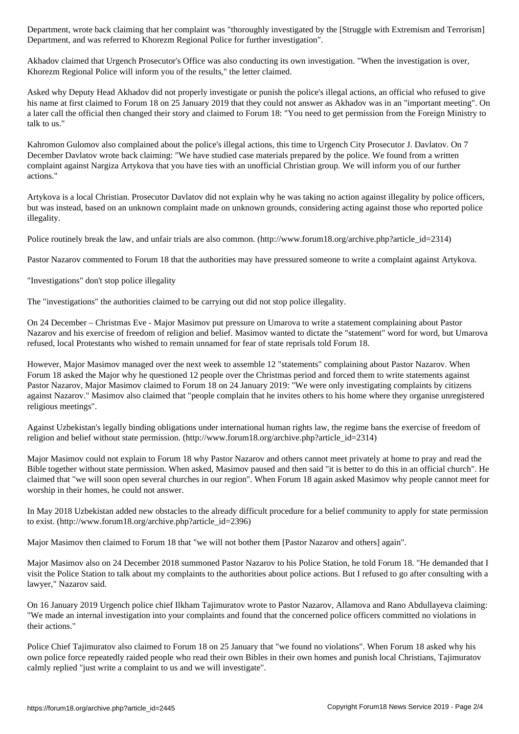Department, and was referred to Khorezm Regional Police for further investigation".

Akhadov claimed that Urgench Prosecutor's Office was also conducting its own investigation. "When the investigation is over, Khorezm Regional Police will inform you of the results," the letter claimed.

Asked why Deputy Head Akhadov did not properly investigate or punish the police's illegal actions, an official who refused to give his name at first claimed to Forum 18 on 25 January 2019 that they could not answer as Akhadov was in an "important meeting". On a later call the official then changed their story and claimed to Forum 18: "You need to get permission from the Foreign Ministry to talk to us."

Kahromon Gulomov also complained about the police's illegal actions, this time to Urgench City Prosecutor J. Davlatov. On 7 December Davlatov wrote back claiming: "We have studied case materials prepared by the police. We found from a written complaint against Nargiza Artykova that you have ties with an unofficial Christian group. We will inform you of our further actions."

Artykova is a local Christian. Prosecutor Davlatov did not explain why he was taking no action against illegality by police officers, but was instead, based on an unknown complaint made on unknown grounds, considering acting against those who reported police illegality.

Police routinely break the law, and unfair trials are also common. (http://www.forum18.org/archive.php?article\_id=2314)

Pastor Nazarov commented to Forum 18 that the authorities may have pressured someone to write a complaint against Artykova.

"Investigations" don't stop police illegality

The "investigations" the authorities claimed to be carrying out did not stop police illegality.

On 24 December – Christmas Eve - Major Masimov put pressure on Umarova to write a statement complaining about Pastor Nazarov and his exercise of freedom of religion and belief. Masimov wanted to dictate the "statement" word for word, but Umarova refused, local Protestants who wished to remain unnamed for fear of state reprisals told Forum 18.

However, Major Masimov managed over the next week to assemble 12 "statements" complaining about Pastor Nazarov. When Forum 18 asked the Major why he questioned 12 people over the Christmas period and forced them to write statements against Pastor Nazarov, Major Masimov claimed to Forum 18 on 24 January 2019: "We were only investigating complaints by citizens against Nazarov." Masimov also claimed that "people complain that he invites others to his home where they organise unregistered religious meetings".

Against Uzbekistan's legally binding obligations under international human rights law, the regime bans the exercise of freedom of religion and belief without state permission. (http://www.forum18.org/archive.php?article\_id=2314)

Major Masimov could not explain to Forum 18 why Pastor Nazarov and others cannot meet privately at home to pray and read the Bible together without state permission. When asked, Masimov paused and then said "it is better to do this in an official church". He claimed that "we will soon open several churches in our region". When Forum 18 again asked Masimov why people cannot meet for worship in their homes, he could not answer.

In May 2018 Uzbekistan added new obstacles to the already difficult procedure for a belief community to apply for state permission to exist. (http://www.forum18.org/archive.php?article\_id=2396)

Major Masimov then claimed to Forum 18 that "we will not bother them [Pastor Nazarov and others] again".

Major Masimov also on 24 December 2018 summoned Pastor Nazarov to his Police Station, he told Forum 18. "He demanded that I visit the Police Station to talk about my complaints to the authorities about police actions. But I refused to go after consulting with a lawyer," Nazarov said.

On 16 January 2019 Urgench police chief Ilkham Tajimuratov wrote to Pastor Nazarov, Allamova and Rano Abdullayeva claiming: "We made an internal investigation into your complaints and found that the concerned police officers committed no violations in their actions."

Police Chief Tajimuratov also claimed to Forum 18 on 25 January that "we found no violations". When Forum 18 asked why his own police force repeatedly raided people who read their own Bibles in their own homes and punish local Christians, Tajimuratov calmly replied "just write a complaint to us and we will investigate".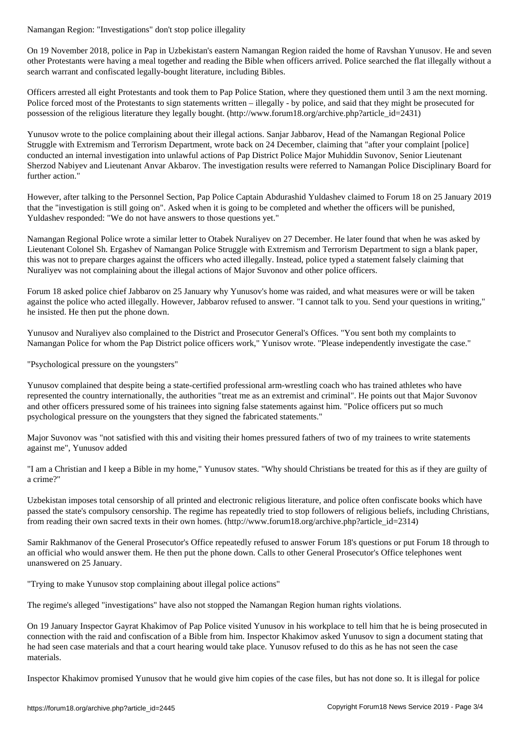On 19 November 2018, police in Pap in Uzbekistan's eastern Namangan Region raided the home of Ravshan Yunusov. He and seven other Protestants were having a meal together and reading the Bible when officers arrived. Police searched the flat illegally without a search warrant and confiscated legally-bought literature, including Bibles.

Officers arrested all eight Protestants and took them to Pap Police Station, where they questioned them until 3 am the next morning. Police forced most of the Protestants to sign statements written – illegally - by police, and said that they might be prosecuted for possession of the religious literature they legally bought. (http://www.forum18.org/archive.php?article\_id=2431)

Yunusov wrote to the police complaining about their illegal actions. Sanjar Jabbarov, Head of the Namangan Regional Police Struggle with Extremism and Terrorism Department, wrote back on 24 December, claiming that "after your complaint [police] conducted an internal investigation into unlawful actions of Pap District Police Major Muhiddin Suvonov, Senior Lieutenant Sherzod Nabiyev and Lieutenant Anvar Akbarov. The investigation results were referred to Namangan Police Disciplinary Board for further action."

However, after talking to the Personnel Section, Pap Police Captain Abdurashid Yuldashev claimed to Forum 18 on 25 January 2019 that the "investigation is still going on". Asked when it is going to be completed and whether the officers will be punished, Yuldashev responded: "We do not have answers to those questions yet."

Namangan Regional Police wrote a similar letter to Otabek Nuraliyev on 27 December. He later found that when he was asked by Lieutenant Colonel Sh. Ergashev of Namangan Police Struggle with Extremism and Terrorism Department to sign a blank paper, this was not to prepare charges against the officers who acted illegally. Instead, police typed a statement falsely claiming that Nuraliyev was not complaining about the illegal actions of Major Suvonov and other police officers.

Forum 18 asked police chief Jabbarov on 25 January why Yunusov's home was raided, and what measures were or will be taken against the police who acted illegally. However, Jabbarov refused to answer. "I cannot talk to you. Send your questions in writing," he insisted. He then put the phone down.

Yunusov and Nuraliyev also complained to the District and Prosecutor General's Offices. "You sent both my complaints to Namangan Police for whom the Pap District police officers work," Yunisov wrote. "Please independently investigate the case."

"Psychological pressure on the youngsters"

Yunusov complained that despite being a state-certified professional arm-wrestling coach who has trained athletes who have represented the country internationally, the authorities "treat me as an extremist and criminal". He points out that Major Suvonov and other officers pressured some of his trainees into signing false statements against him. "Police officers put so much psychological pressure on the youngsters that they signed the fabricated statements."

Major Suvonov was "not satisfied with this and visiting their homes pressured fathers of two of my trainees to write statements against me", Yunusov added

"I am a Christian and I keep a Bible in my home," Yunusov states. "Why should Christians be treated for this as if they are guilty of a crime?"

Uzbekistan imposes total censorship of all printed and electronic religious literature, and police often confiscate books which have passed the state's compulsory censorship. The regime has repeatedly tried to stop followers of religious beliefs, including Christians, from reading their own sacred texts in their own homes. (http://www.forum18.org/archive.php?article\_id=2314)

Samir Rakhmanov of the General Prosecutor's Office repeatedly refused to answer Forum 18's questions or put Forum 18 through to an official who would answer them. He then put the phone down. Calls to other General Prosecutor's Office telephones went unanswered on 25 January.

"Trying to make Yunusov stop complaining about illegal police actions"

The regime's alleged "investigations" have also not stopped the Namangan Region human rights violations.

On 19 January Inspector Gayrat Khakimov of Pap Police visited Yunusov in his workplace to tell him that he is being prosecuted in connection with the raid and confiscation of a Bible from him. Inspector Khakimov asked Yunusov to sign a document stating that he had seen case materials and that a court hearing would take place. Yunusov refused to do this as he has not seen the case materials.

Inspector Khakimov promised Yunusov that he would give him copies of the case files, but has not done so. It is illegal for police